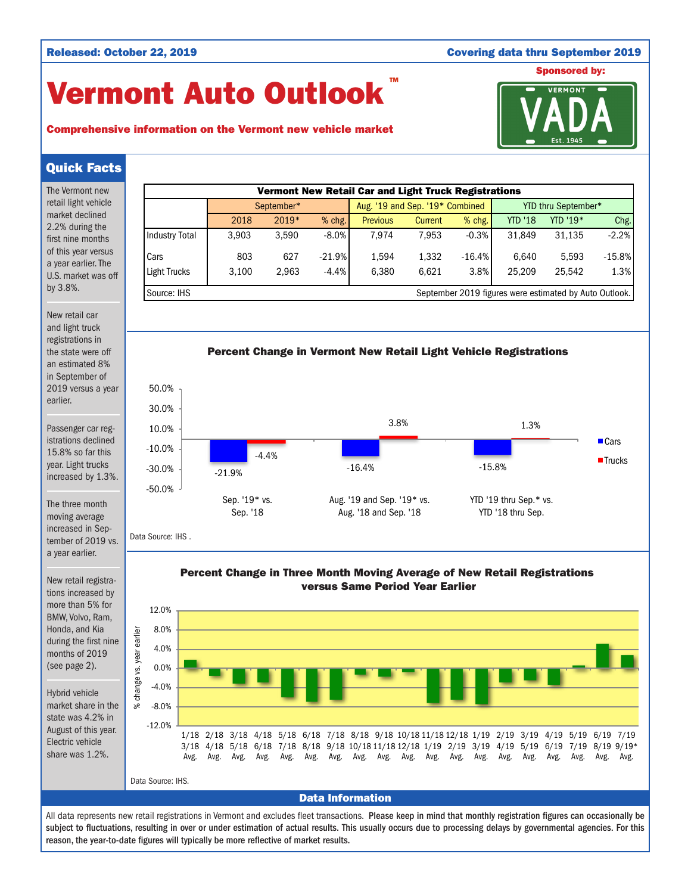## Released: October 22, 2019 Covering data thru September 2019

YTD '19 thru Sep.\* vs. YTD '18 thru Sep.

## Sponsored by:

# Vermont Auto Outlook TM



## Comprehensive information on the Vermont new vehicle market

## Quick Facts

The Vermont new retail light vehicle market declined 2.2% during the first nine months of this year versus a year earlier. The U.S. market was off by 3.8%.

New retail car and light truck registrations in the state were off an estimated 8% in September of 2019 versus a year earlier.

Passenger car registrations declined 15.8% so far this year. Light trucks increased by 1.3%.

The three month moving average increased in Sepa year earlier.

New retail registrations increased by more than 5% for BMW, Volvo, Ram, Honda, and Kia months of 2019

Hybrid vehicle market share in the state was 4.2% in August of this year. Electric vehicle share was 1.2%.





tember of 2019 vs.

during the first nine (see page 2).

% change vs. year earlier change  $\aleph$ 

earlier year ys. -50.0%

Data Source: IHS .

Sep. '19\* vs. Sep. '18



Aug. '19 and Sep. '19\* vs. Aug. '18 and Sep. '18



All data represents new retail registrations in Vermont and excludes fleet transactions. Please keep in mind that monthly registration figures can occasionally be subject to fluctuations, resulting in over or under estimation of actual results. This usually occurs due to processing delays by governmental agencies. For this reason, the year-to-date figures will typically be more reflective of market results.